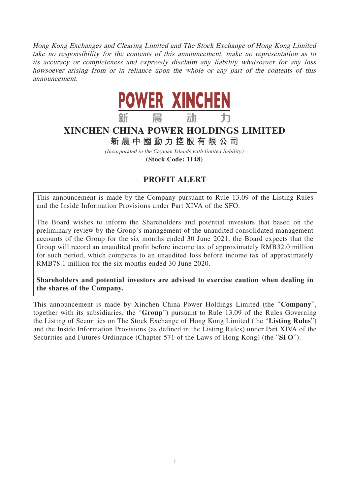Hong Kong Exchanges and Clearing Limited and The Stock Exchange of Hong Kong Limited take no responsibility for the contents of this announcement, make no representation as to its accuracy or completeness and expressly disclaim any liability whatsoever for any loss howsoever arising from or in reliance upon the whole or any part of the contents of this announcement.



## **XINCHEN CHINA POWER HOLDINGS LIMITED**

**新晨中國動力控股有限公 司**

(Incorporated in the Cayman Islands with limited liability) **(Stock Code: 1148)**

## **PROFIT ALERT**

This announcement is made by the Company pursuant to Rule 13.09 of the Listing Rules and the Inside Information Provisions under Part XIVA of the SFO.

The Board wishes to inform the Shareholders and potential investors that based on the preliminary review by the Group's management of the unaudited consolidated management accounts of the Group for the six months ended 30 June 2021, the Board expects that the Group will record an unaudited profit before income tax of approximately RMB32.0 million for such period, which compares to an unaudited loss before income tax of approximately RMB78.1 million for the six months ended 30 June 2020.

**Shareholders and potential investors are advised to exercise caution when dealing in the shares of the Company.**

This announcement is made by Xinchen China Power Holdings Limited (the "**Company**", together with its subsidiaries, the "**Group**") pursuant to Rule 13.09 of the Rules Governing the Listing of Securities on The Stock Exchange of Hong Kong Limited (the "**Listing Rules**") and the Inside Information Provisions (as defined in the Listing Rules) under Part XIVA of the Securities and Futures Ordinance (Chapter 571 of the Laws of Hong Kong) (the "**SFO**").